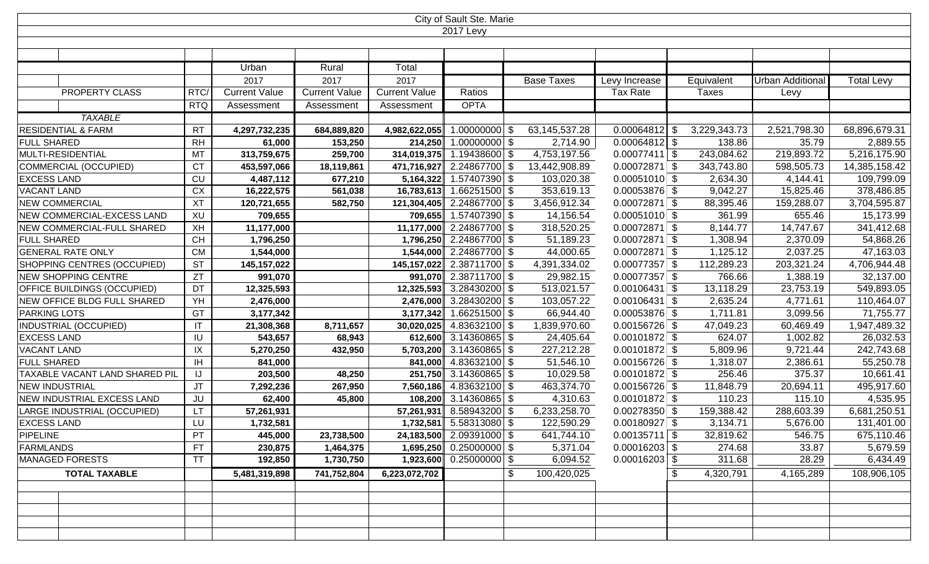| City of Sault Ste. Marie           |                        |                      |                      |                      |                           |                  |                 |              |                  |                   |  |
|------------------------------------|------------------------|----------------------|----------------------|----------------------|---------------------------|------------------|-----------------|--------------|------------------|-------------------|--|
| <b>2017 Levy</b>                   |                        |                      |                      |                      |                           |                  |                 |              |                  |                   |  |
|                                    |                        |                      |                      |                      |                           |                  |                 |              |                  |                   |  |
|                                    |                        |                      |                      |                      |                           |                  |                 |              |                  |                   |  |
|                                    |                        | Urban                | Rural                | Total                |                           |                  |                 |              |                  |                   |  |
|                                    |                        | 2017                 | 2017                 | 2017                 |                           | Base Taxes       | Levy Increase   | Equivalent   | Urban Additional | <b>Total Levy</b> |  |
| PROPERTY CLASS                     | RTC                    | <b>Current Value</b> | <b>Current Value</b> | <b>Current Value</b> | Ratios                    |                  | <b>Tax Rate</b> | Taxes        | Levy             |                   |  |
|                                    | <b>RTQ</b>             | Assessment           | Assessment           | Assessment           | <b>OPTA</b>               |                  |                 |              |                  |                   |  |
| <b>TAXABLE</b>                     |                        |                      |                      |                      |                           |                  |                 |              |                  |                   |  |
| <b>RESIDENTIAL &amp; FARM</b>      | <b>RT</b>              | 4,297,732,235        | 684,889,820          | 4,982,622,055        | $1.00000000$ \$           | 63, 145, 537. 28 | $0.00064812$ \$ | 3,229,343.73 | 2,521,798.30     | 68,896,679.31     |  |
| <b>FULL SHARED</b>                 | <b>RH</b>              | 61,000               | 153,250              | 214,250              | $1.00000000$ \$           | 2,714.90         | $0.00064812$ \$ | 138.86       | 35.79            | 2,889.55          |  |
| MULTI-RESIDENTIAL                  | MT                     | 313,759,675          | 259,700              | 314,019,375          | 1.19438600 \$             | 4,753,197.56     | $0.00077411$ \$ | 243,084.62   | 219,893.72       | 5,216,175.90      |  |
| COMMERCIAL (OCCUPIED)              | <b>CT</b>              | 453,597,066          | 18,119,861           | 471,716,927          | 2.24867700 \$             | 13,442,908.89    | $0.00072871$ \$ | 343,743.80   | 598,505.73       | 14,385,158.42     |  |
| <b>EXCESS LAND</b>                 | CU                     | 4,487,112            | 677,210              | 5,164,322            | 1.57407390 \$             | 103,020.38       | $0.00051010$ \$ | 2,634.30     | 4,144.41         | 109,799.09        |  |
| <b>VACANT LAND</b>                 | <b>CX</b>              | 16,222,575           | 561,038              | 16,783,613           | 1.66251500 \$             | 353,619.13       | $0.00053876$ \$ | 9,042.27     | 15,825.46        | 378,486.85        |  |
| <b>NEW COMMERCIAL</b>              | XT                     | 120,721,655          | 582,750              | 121,304,405          | 2.24867700 \$             | 3,456,912.34     | $0.00072871$ \$ | 88,395.46    | 159,288.07       | 3,704,595.87      |  |
| NEW COMMERCIAL-EXCESS LAND         | XU                     | 709,655              |                      | 709,655              | 1.57407390 \$             | 14,156.54        | $0.00051010$ \$ | 361.99       | 655.46           | 15,173.99         |  |
| NEW COMMERCIAL-FULL SHARED         | XH                     | 11,177,000           |                      | 11,177,000           | 2.24867700 \$             | 318,520.25       | $0.00072871$ \$ | 8,144.77     | 14,747.67        | 341,412.68        |  |
| <b>FULL SHARED</b>                 | <b>CH</b>              | 1,796,250            |                      | 1,796,250            | 2.24867700 \$             | 51,189.23        | $0.00072871$ \$ | 1,308.94     | 2,370.09         | 54,868.26         |  |
| <b>GENERAL RATE ONLY</b>           | <b>CM</b>              | 1,544,000            |                      |                      | 1,544,000 2.24867700 \$   | 44,000.65        | $0.00072871$ \$ | 1,125.12     | 2,037.25         | 47,163.03         |  |
| SHOPPING CENTRES (OCCUPIED)        | <b>ST</b>              | 145, 157, 022        |                      | 145,157,022          | 2.38711700 \$             | 4,391,334.02     | $0.00077357$ \$ | 112,289.23   | 203,321.24       | 4,706,944.48      |  |
| NEW SHOPPING CENTRE                | <b>ZT</b>              | 991,070              |                      |                      | 991,070 2.38711700 \$     | 29,982.15        | $0.00077357$ \$ | 766.66       | 1,388.19         | 32,137.00         |  |
| <b>OFFICE BUILDINGS (OCCUPIED)</b> | DT                     | 12,325,593           |                      | 12,325,593           | $3.28430200$ \$           | 513,021.57       | $0.00106431$ \$ | 13,118.29    | 23,753.19        | 549,893.05        |  |
| NEW OFFICE BLDG FULL SHARED        | YH                     | 2,476,000            |                      | 2,476,000            | 3.28430200 \$             | 103,057.22       | $0.00106431$ \$ | 2,635.24     | 4,771.61         | 110,464.07        |  |
| <b>PARKING LOTS</b>                | GT                     | 3,177,342            |                      | 3,177,342            | 1.66251500 \$             | 66,944.40        | $0.00053876$ \$ | 1,711.81     | 3,099.56         | 71,755.77         |  |
| INDUSTRIAL (OCCUPIED)              | $\mathsf{I}\mathsf{T}$ | 21,308,368           | 8,711,657            | 30,020,025           | 4.83632100 \$             | 1,839,970.60     | $0.00156726$ \$ | 47,049.23    | 60,469.49        | 1,947,489.32      |  |
| <b>EXCESS LAND</b>                 | IU                     | 543,657              | 68,943               |                      | 612,600 3.14360865 \$     | 24,405.64        | $0.00101872$ \$ | 624.07       | 1,002.82         | 26,032.53         |  |
| <b>VACANT LAND</b>                 | IX                     | 5,270,250            | 432,950              | 5,703,200            | $3.14360865$ \$           | 227,212.28       | $0.00101872$ \$ | 5,809.96     | 9,721.44         | 242,743.68        |  |
| <b>FULL SHARED</b>                 | IH                     | 841,000              |                      | 841,000              | 4.83632100 \$             | 51,546.10        | $0.00156726$ \$ | 1,318.07     | 2,386.61         | 55,250.78         |  |
| TAXABLE VACANT LAND SHARED PIL     | IJ                     | 203,500              | 48,250               | 251,750              | $3.14360865$ \$           | 10,029.58        | $0.00101872$ \$ | 256.46       | 375.37           | 10,661.41         |  |
| <b>NEW INDUSTRIAL</b>              | <b>JT</b>              | 7,292,236            | 267,950              | 7,560,186            | 4.83632100 \$             | 463,374.70       | $0.00156726$ \$ | 11,848.79    | 20,694.11        | 495,917.60        |  |
| NEW INDUSTRIAL EXCESS LAND         | <b>JU</b>              | 62,400               | 45,800               |                      | 108,200 3.14360865 \$     | 4,310.63         | $0.00101872$ \$ | 110.23       | 115.10           | 4,535.95          |  |
| LARGE INDUSTRIAL (OCCUPIED)        | <b>LT</b>              | 57,261,931           |                      | 57,261,931           | 8.58943200 \$             | 6,233,258.70     | $0.00278350$ \$ | 159,388.42   | 288,603.39       | 6,681,250.51      |  |
| <b>EXCESS LAND</b>                 | LU.                    | 1,732,581            |                      |                      | 1,732,581 5.58313080 \$   | 122,590.29       | $0.00180927$ \$ | 3,134.71     | 5,676.00         | 131,401.00        |  |
| <b>PIPELINE</b>                    | PT                     | 445,000              | 23,738,500           |                      | 24,183,500 2.09391000 \$  | 641,744.10       | $0.00135711$ \$ | 32,819.62    | 546.75           | 675,110.46        |  |
| <b>FARMLANDS</b>                   | <b>FT</b>              | 230,875              | 1,464,375            |                      | $1,695,250$ 0.25000000 \$ | 5,371.04         | $0.00016203$ \$ | 274.68       | 33.87            | 5,679.59          |  |
| <b>MANAGED FORESTS</b>             | TT                     | 192,850              | 1,730,750            |                      | $1,923,600$ 0.25000000 \$ | 6,094.52         | $0.00016203$ \$ | 311.68       | 28.29            | 6,434.49          |  |
| <b>TOTAL TAXABLE</b>               |                        | 5,481,319,898        | 741,752,804          | 6,223,072,702        | \$                        | 100,420,025      |                 | 4,320,791    | 4,165,289        | 108,906,105       |  |
|                                    |                        |                      |                      |                      |                           |                  |                 |              |                  |                   |  |
|                                    |                        |                      |                      |                      |                           |                  |                 |              |                  |                   |  |
|                                    |                        |                      |                      |                      |                           |                  |                 |              |                  |                   |  |
|                                    |                        |                      |                      |                      |                           |                  |                 |              |                  |                   |  |
|                                    |                        |                      |                      |                      |                           |                  |                 |              |                  |                   |  |